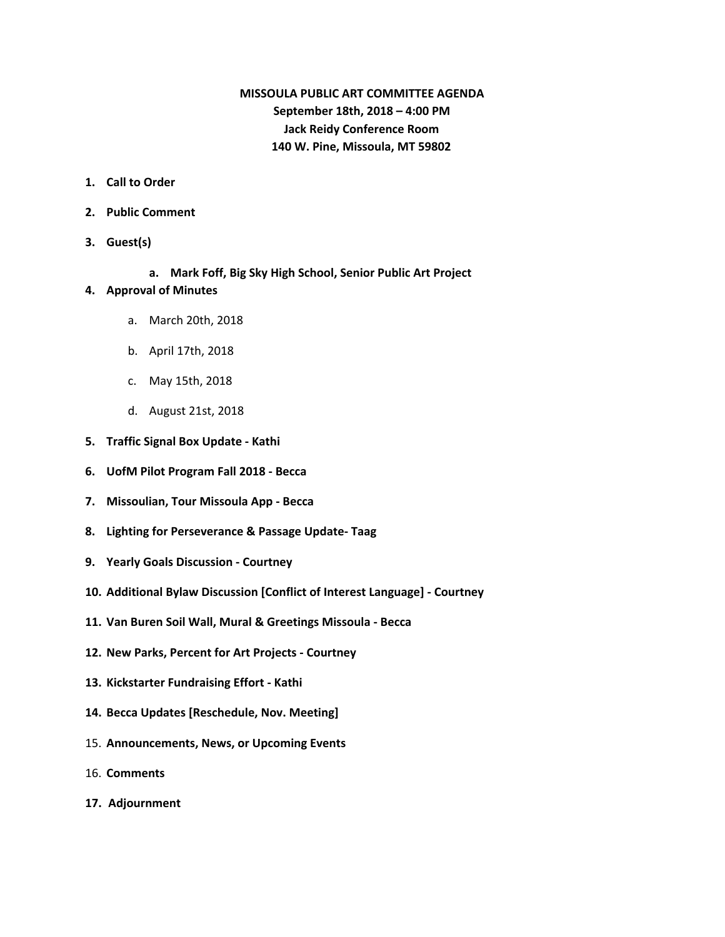# **MISSOULA PUBLIC ART COMMITTEE AGENDA September 18th, 2018 – 4:00 PM Jack Reidy Conference Room 140 W. Pine, Missoula, MT 59802**

- **1. Call to Order**
- **2. Public Comment**
- **3. Guest(s)**
	- **a. Mark Foff, Big Sky High School, Senior Public Art Project**

#### **4. Approval of Minutes**

- a. March 20th, 2018
- b. April 17th, 2018
- c. May 15th, 2018
- d. August 21st, 2018
- **5. Traffic Signal Box Update - Kathi**
- **6. UofM Pilot Program Fall 2018 - Becca**
- **7. Missoulian, Tour Missoula App - Becca**
- **8. Lighting for Perseverance & Passage Update- Taag**
- **9. Yearly Goals Discussion - Courtney**
- **10. Additional Bylaw Discussion [Conflict of Interest Language] - Courtney**
- **11. Van Buren Soil Wall, Mural & Greetings Missoula - Becca**
- **12. New Parks, Percent for Art Projects - Courtney**
- **13. Kickstarter Fundraising Effort - Kathi**
- **14. Becca Updates [Reschedule, Nov. Meeting]**
- 15. **Announcements, News, or Upcoming Events**
- 16. **Comments**
- **17. Adjournment**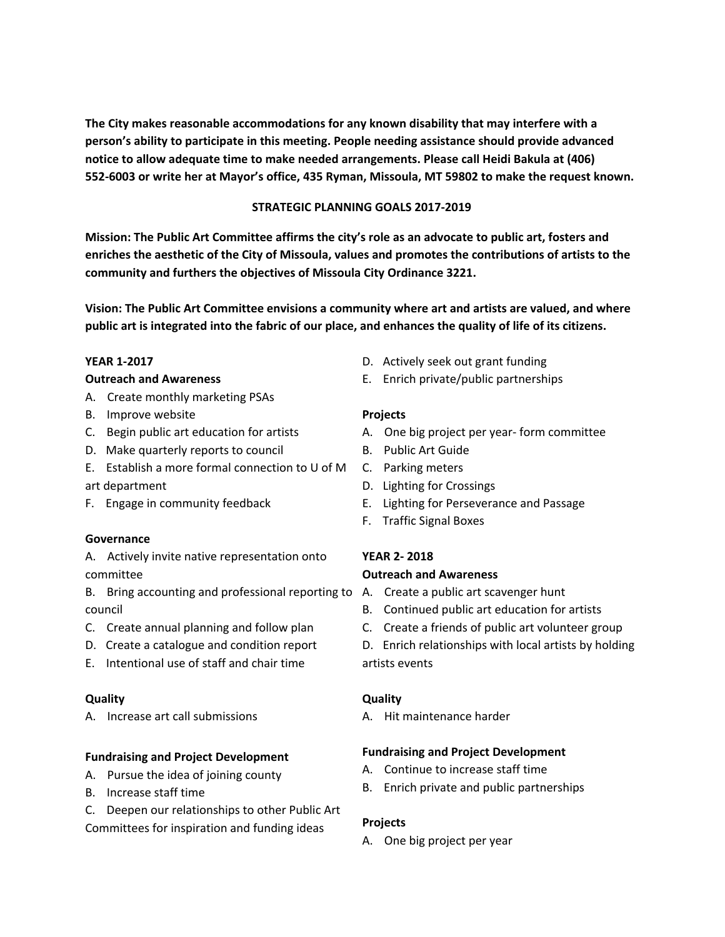**The City makes reasonable accommodations for any known disability that may interfere with a person's ability to participate in this meeting. People needing assistance should provide advanced notice to allow adequate time to make needed arrangements. Please call Heidi Bakula at (406) 552-6003 or write her at Mayor's office, 435 Ryman, Missoula, MT 59802 to make the request known.**

### **STRATEGIC PLANNING GOALS 2017-2019**

**Mission: The Public Art Committee affirms the city's role as an advocate to public art, fosters and enriches the aesthetic of the City of Missoula, values and promotes the contributions of artists to the community and furthers the objectives of Missoula City Ordinance 3221.**

**Vision: The Public Art Committee envisions a community where art and artists are valued, and where** public art is integrated into the fabric of our place, and enhances the quality of life of its citizens.

#### **YEAR 1-2017**

#### **Outreach and Awareness**

- A. Create monthly marketing PSAs
- B. Improve website
- C. Begin public art education for artists
- D. Make quarterly reports to council
- E. Establish a more formal connection to U of M
- art department
- F. Engage in community feedback

#### **Governance**

A. Actively invite native representation onto committee

- B. Bring accounting and professional reporting to A. Create a public art scavenger hunt council
- C. Create annual planning and follow plan
- D. Create a catalogue and condition report
- E. Intentional use of staff and chair time

#### **Quality**

A. Increase art call submissions

#### **Fundraising and Project Development**

- A. Pursue the idea of joining county
- B. Increase staff time
- C. Deepen our relationships to other Public Art

Committees for inspiration and funding ideas

- D. Actively seek out grant funding
- E. Enrich private/public partnerships

#### **Projects**

- A. One big project per year- form committee
- B. Public Art Guide
- C. Parking meters
- D. Lighting for Crossings
- E. Lighting for Perseverance and Passage
- F. Traffic Signal Boxes

#### **YEAR 2- 2018**

#### **Outreach and Awareness**

- 
- B. Continued public art education for artists
- C. Create a friends of public art volunteer group
- D. Enrich relationships with local artists by holding artists events

#### **Quality**

A. Hit maintenance harder

#### **Fundraising and Project Development**

- A. Continue to increase staff time
- B. Enrich private and public partnerships

#### **Projects**

A. One big project per year